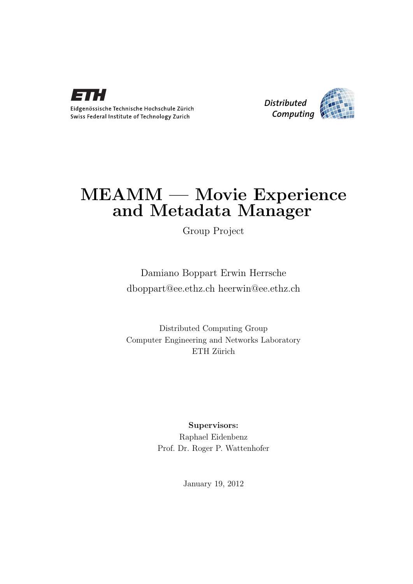

Eidgenössische Technische Hochschule Zürich Swiss Federal Institute of Technology Zurich



## MEAMM — Movie Experience and Metadata Manager

Group Project

Damiano Boppart Erwin Herrsche [dboppart@ee.ethz.ch heerwin@ee.ethz.ch](mailto:Damiano Boppart Erwin Herrsche<dboppart@ee.ethz.ch heerwin@ee.ethz.ch>)

Distributed Computing Group Computer Engineering and Networks Laboratory ETH Zürich

### Supervisors:

Raphael Eidenbenz Prof. Dr. Roger P. Wattenhofer

January 19, 2012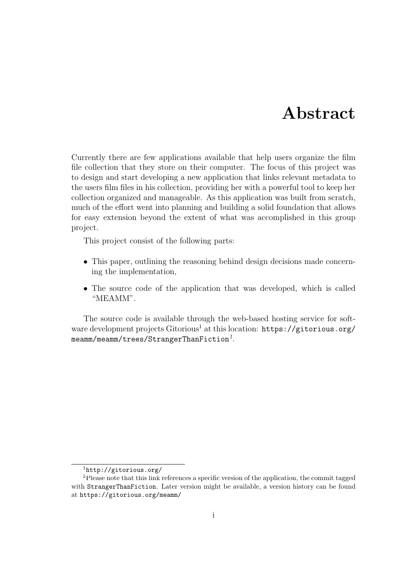## Abstract

<span id="page-1-0"></span>Currently there are few applications available that help users organize the film file collection that they store on their computer. The focus of this project was to design and start developing a new application that links relevant metadata to the users film files in his collection, providing her with a powerful tool to keep her collection organized and manageable. As this application was built from scratch, much of the effort went into planning and building a solid foundation that allows for easy extension beyond the extent of what was accomplished in this group project.

This project consist of the following parts:

- This paper, outlining the reasoning behind design decisions made concerning the implementation,
- The source code of the application that was developed, which is called "MEAMM".

The source code is available through the web-based hosting service for software development projects Gitorious<sup>1</sup> at this location: [https://gitorious.org/](https://gitorious.org/meamm/meamm/trees/StrangerThanFiction)  ${\tt meamm/meamm/trees/Stranger ThanFiction^2}.$ 

<sup>1</sup><http://gitorious.org/>

<sup>&</sup>lt;sup>2</sup>Please note that this link references a specific version of the application, the commit tagged with StrangerThanFiction. Later version might be available, a version history can be found at <https://gitorious.org/meamm/>.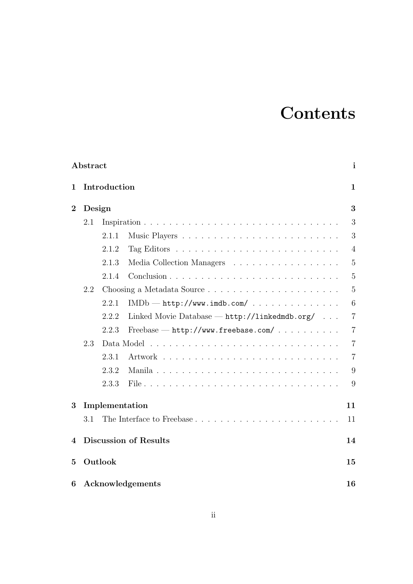## **Contents**

|                  | $\mathbf{i}$<br>Abstract           |              |                                               |                |  |  |
|------------------|------------------------------------|--------------|-----------------------------------------------|----------------|--|--|
| 1                |                                    | Introduction |                                               | $\mathbf{1}$   |  |  |
| $\boldsymbol{2}$ | Design                             |              |                                               |                |  |  |
|                  | 2.1                                |              |                                               | 3              |  |  |
|                  |                                    | 2.1.1        |                                               | 3              |  |  |
|                  |                                    | 2.1.2        |                                               | $\overline{4}$ |  |  |
|                  |                                    | 2.1.3        | Media Collection Managers                     | $\overline{5}$ |  |  |
|                  |                                    | 2.1.4        |                                               | 5              |  |  |
|                  | 2.2<br>Choosing a Metadata Source  |              |                                               |                |  |  |
|                  |                                    | 2.2.1        | $IMDb - http://www.indb.com/$                 | 6              |  |  |
|                  |                                    | 2.2.2        | Linked Movie Database - http://linkedmdb.org/ | $\overline{7}$ |  |  |
|                  |                                    | 2.2.3        | $Freebase - http://www.freebase.com/$         | $\overline{7}$ |  |  |
|                  | 2.3                                |              |                                               | $\overline{7}$ |  |  |
|                  |                                    | 2.3.1        |                                               | $\overline{7}$ |  |  |
|                  |                                    | 2.3.2        |                                               | 9              |  |  |
|                  |                                    | 2.3.3        |                                               | 9              |  |  |
| 3                | Implementation                     |              |                                               |                |  |  |
|                  | 3.1                                |              | The Interface to Freebase                     | 11             |  |  |
| 4                | <b>Discussion of Results</b><br>14 |              |                                               |                |  |  |
| $\mathbf{5}$     | Outlook<br>15                      |              |                                               |                |  |  |
| 6                | Acknowledgements                   |              |                                               | 16             |  |  |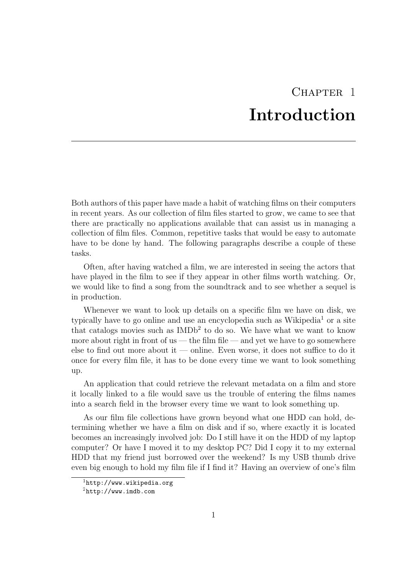## CHAPTER<sub>1</sub> Introduction

<span id="page-3-0"></span>Both authors of this paper have made a habit of watching films on their computers in recent years. As our collection of film files started to grow, we came to see that there are practically no applications available that can assist us in managing a collection of film files. Common, repetitive tasks that would be easy to automate have to be done by hand. The following paragraphs describe a couple of these tasks.

Often, after having watched a film, we are interested in seeing the actors that have played in the film to see if they appear in other films worth watching. Or, we would like to find a song from the soundtrack and to see whether a sequel is in production.

Whenever we want to look up details on a specific film we have on disk, we typically have to go online and use an encyclopedia such as Wikipedia<sup>1</sup> or a site that catalogs movies such as  $IMDb<sup>2</sup>$  to do so. We have what we want to know more about right in front of us — the film file — and yet we have to go somewhere else to find out more about it — online. Even worse, it does not suffice to do it once for every film file, it has to be done every time we want to look something up.

An application that could retrieve the relevant metadata on a film and store it locally linked to a file would save us the trouble of entering the films names into a search field in the browser every time we want to look something up.

As our film file collections have grown beyond what one HDD can hold, determining whether we have a film on disk and if so, where exactly it is located becomes an increasingly involved job: Do I still have it on the HDD of my laptop computer? Or have I moved it to my desktop PC? Did I copy it to my external HDD that my friend just borrowed over the weekend? Is my USB thumb drive even big enough to hold my film file if I find it? Having an overview of one's film

<sup>1</sup><http://www.wikipedia.org>

<sup>2</sup><http://www.imdb.com>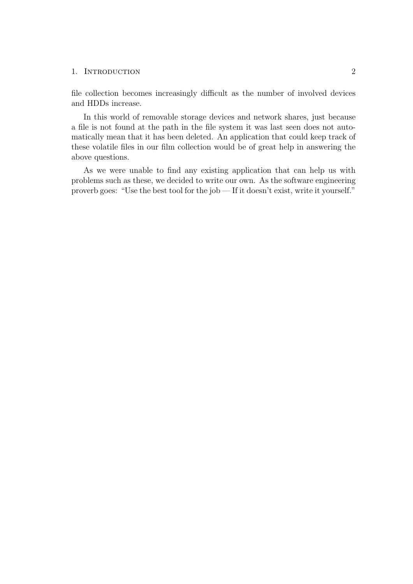#### 1. INTRODUCTION 2

file collection becomes increasingly difficult as the number of involved devices and HDDs increase.

In this world of removable storage devices and network shares, just because a file is not found at the path in the file system it was last seen does not automatically mean that it has been deleted. An application that could keep track of these volatile files in our film collection would be of great help in answering the above questions.

As we were unable to find any existing application that can help us with problems such as these, we decided to write our own. As the software engineering proverb goes: "Use the best tool for the job — If it doesn't exist, write it yourself."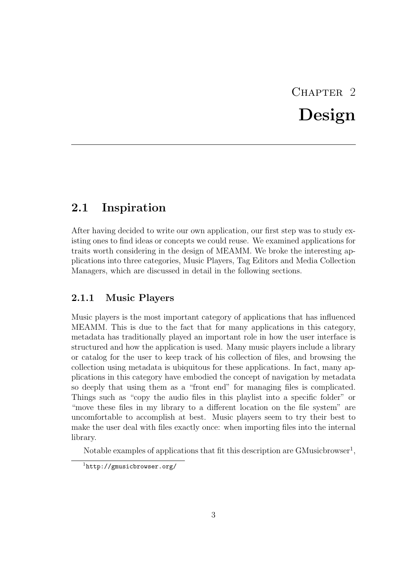# CHAPTER<sub>2</sub> Design

### <span id="page-5-1"></span><span id="page-5-0"></span>2.1 Inspiration

After having decided to write our own application, our first step was to study existing ones to find ideas or concepts we could reuse. We examined applications for traits worth considering in the design of MEAMM. We broke the interesting applications into three categories, Music Players, Tag Editors and Media Collection Managers, which are discussed in detail in the following sections.

#### <span id="page-5-2"></span>2.1.1 Music Players

Music players is the most important category of applications that has influenced MEAMM. This is due to the fact that for many applications in this category, metadata has traditionally played an important role in how the user interface is structured and how the application is used. Many music players include a library or catalog for the user to keep track of his collection of files, and browsing the collection using metadata is ubiquitous for these applications. In fact, many applications in this category have embodied the concept of navigation by metadata so deeply that using them as a "front end" for managing files is complicated. Things such as "copy the audio files in this playlist into a specific folder" or "move these files in my library to a different location on the file system" are uncomfortable to accomplish at best. Music players seem to try their best to make the user deal with files exactly once: when importing files into the internal library.

Notable examples of applications that fit this description are  $GMusichrowser<sup>1</sup>$ ,

<sup>1</sup><http://gmusicbrowser.org/>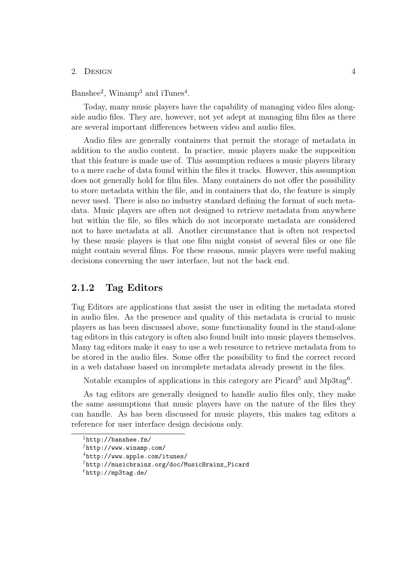Banshee<sup>2</sup>, Winamp<sup>3</sup> and iTunes<sup>4</sup>.

Today, many music players have the capability of managing video files alongside audio files. They are, however, not yet adept at managing film files as there are several important differences between video and audio files.

Audio files are generally containers that permit the storage of metadata in addition to the audio content. In practice, music players make the supposition that this feature is made use of. This assumption reduces a music players library to a mere cache of data found within the files it tracks. However, this assumption does not generally hold for film files. Many containers do not offer the possibility to store metadata within the file, and in containers that do, the feature is simply never used. There is also no industry standard defining the format of such metadata. Music players are often not designed to retrieve metadata from anywhere but within the file, so files which do not incorporate metadata are considered not to have metadata at all. Another circumstance that is often not respected by these music players is that one film might consist of several files or one file might contain several films. For these reasons, music players were useful making decisions concerning the user interface, but not the back end.

#### <span id="page-6-0"></span>2.1.2 Tag Editors

Tag Editors are applications that assist the user in editing the metadata stored in audio files. As the presence and quality of this metadata is crucial to music players as has been discussed above, some functionality found in the stand-alone tag editors in this category is often also found built into music players themselves. Many tag editors make it easy to use a web resource to retrieve metadata from to be stored in the audio files. Some offer the possibility to find the correct record in a web database based on incomplete metadata already present in the files.

Notable examples of applications in this category are Picard<sup>5</sup> and Mp3tag<sup>6</sup>.

As tag editors are generally designed to handle audio files only, they make the same assumptions that music players have on the nature of the files they can handle. As has been discussed for music players, this makes tag editors a reference for user interface design decisions only.

<sup>2</sup><http://banshee.fm/>

 $3$ <http://www.winamp.com/>

 $4$ <http://www.apple.com/itunes/>

<sup>5</sup>[http://musicbrainz.org/doc/MusicBrainz\\_Picard](http://musicbrainz.org/doc/MusicBrainz_Picard)

 $6$ <http://mp3tag.de/>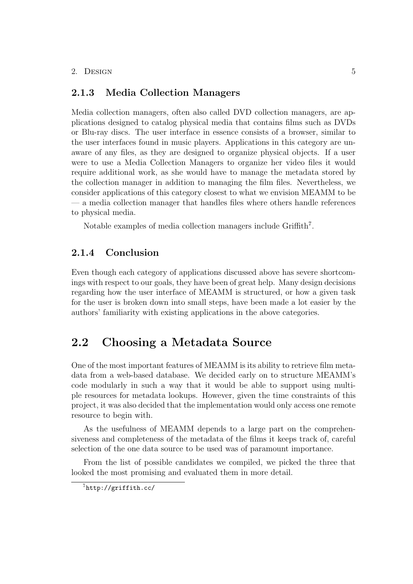#### <span id="page-7-0"></span>2.1.3 Media Collection Managers

Media collection managers, often also called DVD collection managers, are applications designed to catalog physical media that contains films such as DVDs or Blu-ray discs. The user interface in essence consists of a browser, similar to the user interfaces found in music players. Applications in this category are unaware of any files, as they are designed to organize physical objects. If a user were to use a Media Collection Managers to organize her video files it would require additional work, as she would have to manage the metadata stored by the collection manager in addition to managing the film files. Nevertheless, we consider applications of this category closest to what we envision MEAMM to be — a media collection manager that handles files where others handle references to physical media.

Notable examples of media collection managers include Griffith<sup>7</sup>.

#### <span id="page-7-1"></span>2.1.4 Conclusion

Even though each category of applications discussed above has severe shortcomings with respect to our goals, they have been of great help. Many design decisions regarding how the user interface of MEAMM is structured, or how a given task for the user is broken down into small steps, have been made a lot easier by the authors' familiarity with existing applications in the above categories.

### <span id="page-7-2"></span>2.2 Choosing a Metadata Source

One of the most important features of MEAMM is its ability to retrieve film metadata from a web-based database. We decided early on to structure MEAMM's code modularly in such a way that it would be able to support using multiple resources for metadata lookups. However, given the time constraints of this project, it was also decided that the implementation would only access one remote resource to begin with.

As the usefulness of MEAMM depends to a large part on the comprehensiveness and completeness of the metadata of the films it keeps track of, careful selection of the one data source to be used was of paramount importance.

From the list of possible candidates we compiled, we picked the three that looked the most promising and evaluated them in more detail.

<sup>7</sup><http://griffith.cc/>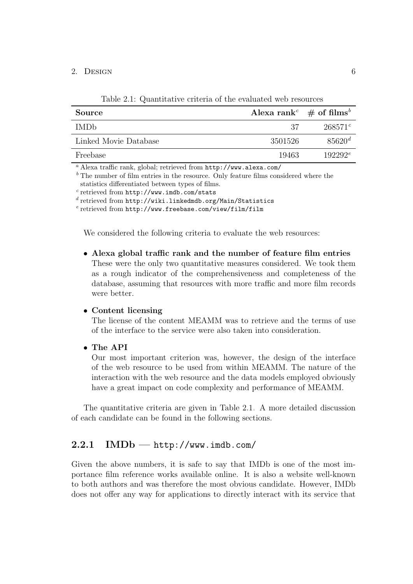| $\frac{1}{2}$         |                                                    |                 |  |
|-----------------------|----------------------------------------------------|-----------------|--|
| <b>Source</b>         | Alexa rank <sup>c</sup> $\#$ of films <sup>b</sup> |                 |  |
| IMD <sub>b</sub>      | -37                                                | $268571^c$      |  |
| Linked Movie Database | 3501526                                            | $85620^{\rm d}$ |  |
| Freebase              | 19463                                              | $192292^e$      |  |

<span id="page-8-1"></span>Table 2.1: Quantitative criteria of the evaluated web resources

<sup>a</sup> Alexa traffic rank, global; retrieved from http://www.alexa.com/

 $<sup>b</sup>$  The number of film entries in the resource. Only feature films considered where the</sup> statistics differentiated between types of films.

c retrieved from <http://www.imdb.com/stats>

d retrieved from <http://wiki.linkedmdb.org/Main/Statistics>

e retrieved from <http://www.freebase.com/view/film/film>

We considered the following criteria to evaluate the web resources:

• Alexa global traffic rank and the number of feature film entries These were the only two quantitative measures considered. We took them as a rough indicator of the comprehensiveness and completeness of the database, assuming that resources with more traffic and more film records were better.

#### • Content licensing

The license of the content MEAMM was to retrieve and the terms of use of the interface to the service were also taken into consideration.

• The API

Our most important criterion was, however, the design of the interface of the web resource to be used from within MEAMM. The nature of the interaction with the web resource and the data models employed obviously have a great impact on code complexity and performance of MEAMM.

The quantitative criteria are given in Table [2.1.](#page-8-1) A more detailed discussion of each candidate can be found in the following sections.

#### <span id="page-8-0"></span> $2.2.1$  IMDb — http://www.imdb.com/

Given the above numbers, it is safe to say that IMDb is one of the most importance film reference works available online. It is also a website well-known to both authors and was therefore the most obvious candidate. However, IMDb does not offer any way for applications to directly interact with its service that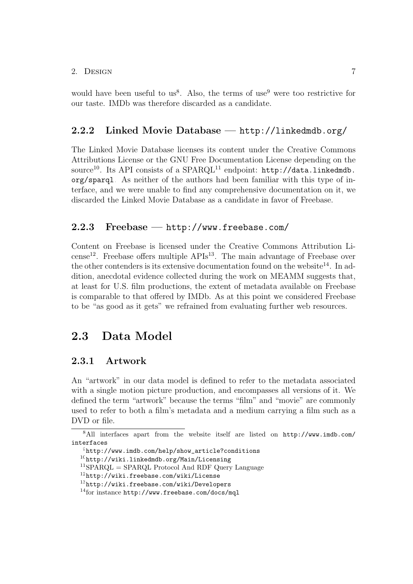would have been useful to us<sup>8</sup>. Also, the terms of use<sup>9</sup> were too restrictive for our taste. IMDb was therefore discarded as a candidate.

#### <span id="page-9-0"></span>2.2.2 Linked Movie Database — http://linkedmdb.org/

The Linked Movie Database licenses its content under the Creative Commons Attributions License or the GNU Free Documentation License depending on the source<sup>10</sup>. Its API consists of a SPARQL<sup>11</sup> endpoint:  $http://data.linkedmdb.$ [org/sparql](http://data.linkedmdb.org/sparql). As neither of the authors had been familiar with this type of interface, and we were unable to find any comprehensive documentation on it, we discarded the Linked Movie Database as a candidate in favor of Freebase.

#### <span id="page-9-1"></span>2.2.3 Freebase — http://www.freebase.com/

Content on Freebase is licensed under the Creative Commons Attribution Li $cense<sup>12</sup>$ . Freebase offers multiple  $APIs<sup>13</sup>$ . The main advantage of Freebase over the other contenders is its extensive documentation found on the website<sup>14</sup>. In addition, anecdotal evidence collected during the work on MEAMM suggests that, at least for U.S. film productions, the extent of metadata available on Freebase is comparable to that offered by IMDb. As at this point we considered Freebase to be "as good as it gets" we refrained from evaluating further web resources.

### <span id="page-9-2"></span>2.3 Data Model

#### <span id="page-9-3"></span>2.3.1 Artwork

An "artwork" in our data model is defined to refer to the metadata associated with a single motion picture production, and encompasses all versions of it. We defined the term "artwork" because the terms "film" and "movie" are commonly used to refer to both a film's metadata and a medium carrying a film such as a DVD or file.

<sup>8</sup>All interfaces apart from the website itself are listed on [http://www.imdb.com/](http://www.imdb.com/interfaces) [interfaces](http://www.imdb.com/interfaces)

 $^{9}$ [http://www.imdb.com/help/show\\_article?conditions](http://www.imdb.com/help/show_article?conditions)

<sup>10</sup><http://wiki.linkedmdb.org/Main/Licensing>

 ${}^{11}$ SPARQL = SPARQL Protocol And RDF Query Language

<sup>12</sup><http://wiki.freebase.com/wiki/License>

<sup>13</sup><http://wiki.freebase.com/wiki/Developers>

<sup>14</sup>for instance <http://www.freebase.com/docs/mql>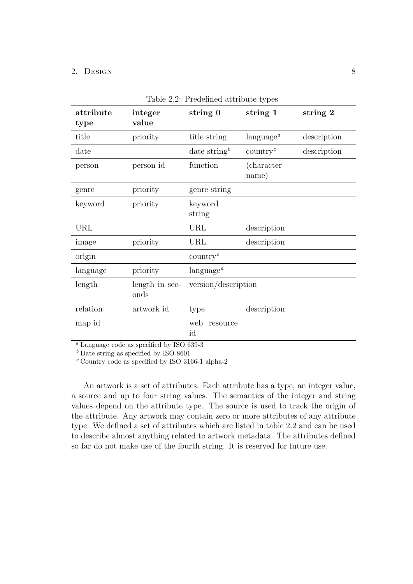| attribute<br>type | integer<br>value       | string 0                 | string 1                            | string 2    |
|-------------------|------------------------|--------------------------|-------------------------------------|-------------|
| title             | priority               | title string             | $\langle \text{language}^a \rangle$ | description |
| date              |                        | date string <sup>b</sup> | $\text{country}^c$                  | description |
| person            | person id              | function                 | (character)<br>name)                |             |
| genre             | priority               | genre string             |                                     |             |
| keyword           | priority               | keyword<br>string        |                                     |             |
| URL               |                        | URL                      | description                         |             |
| image             | priority               | URL                      | description                         |             |
| origin            |                        | $\text{country}^c$       |                                     |             |
| language          | priority               | language <sup>a</sup>    |                                     |             |
| length            | length in sec-<br>onds | version/description      |                                     |             |
| relation          | artwork id             | type                     | description                         |             |
| map id            |                        | web<br>resource<br>id    |                                     |             |

<span id="page-10-0"></span>

|  |  | Table 2.2: Predefined attribute types |  |  |
|--|--|---------------------------------------|--|--|
|--|--|---------------------------------------|--|--|

<sup>a</sup> Language code as specified by ISO 639-3

 $<sup>b</sup>$  Date string as specified by ISO 8601</sup>

 $c$  Country code as specified by ISO 3166-1 alpha-2

An artwork is a set of attributes. Each attribute has a type, an integer value, a source and up to four string values. The semantics of the integer and string values depend on the attribute type. The source is used to track the origin of the attribute. Any artwork may contain zero or more attributes of any attribute type. We defined a set of attributes which are listed in table [2.2](#page-10-0) and can be used to describe almost anything related to artwork metadata. The attributes defined so far do not make use of the fourth string. It is reserved for future use.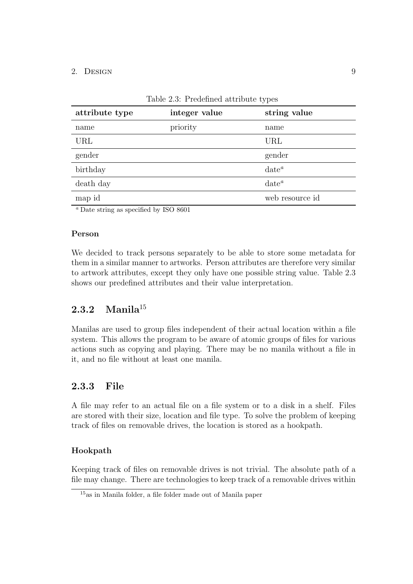| attribute type | integer value | string value    |
|----------------|---------------|-----------------|
| name           | priority      | name            |
| URL            |               | URL             |
| gender         |               | gender          |
| birthday       |               | $date^a$        |
| death day      |               | $date^a$        |
| map id         |               | web resource id |

<span id="page-11-2"></span>Table 2.3: Predefined attribute types

<sup>a</sup> Date string as specified by ISO 8601

#### Person

We decided to track persons separately to be able to store some metadata for them in a similar manner to artworks. Person attributes are therefore very similar to artwork attributes, except they only have one possible string value. Table [2.3](#page-11-2) shows our predefined attributes and their value interpretation.

### <span id="page-11-0"></span>2.3.2 Manil $a^{15}$

Manilas are used to group files independent of their actual location within a file system. This allows the program to be aware of atomic groups of files for various actions such as copying and playing. There may be no manila without a file in it, and no file without at least one manila.

### <span id="page-11-1"></span>2.3.3 File

A file may refer to an actual file on a file system or to a disk in a shelf. Files are stored with their size, location and file type. To solve the problem of keeping track of files on removable drives, the location is stored as a hookpath.

#### Hookpath

Keeping track of files on removable drives is not trivial. The absolute path of a file may change. There are technologies to keep track of a removable drives within

<sup>15</sup>as in Manila folder, a file folder made out of Manila paper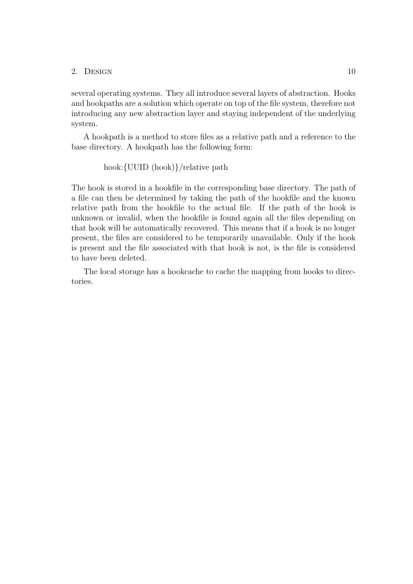several operating systems. They all introduce several layers of abstraction. Hooks and hookpaths are a solution which operate on top of the file system, therefore not introducing any new abstraction layer and staying independent of the underlying system.

A hookpath is a method to store files as a relative path and a reference to the base directory. A hookpath has the following form:

$$
hook([UUD (hook])\
$$

The hook is stored in a hookfile in the corresponding base directory. The path of a file can then be determined by taking the path of the hookfile and the known relative path from the hookfile to the actual file. If the path of the hook is unknown or invalid, when the hookfile is found again all the files depending on that hook will be automatically recovered. This means that if a hook is no longer present, the files are considered to be temporarily unavailable. Only if the hook is present and the file associated with that hook is not, is the file is considered to have been deleted.

The local storage has a hookcache to cache the mapping from hooks to directories.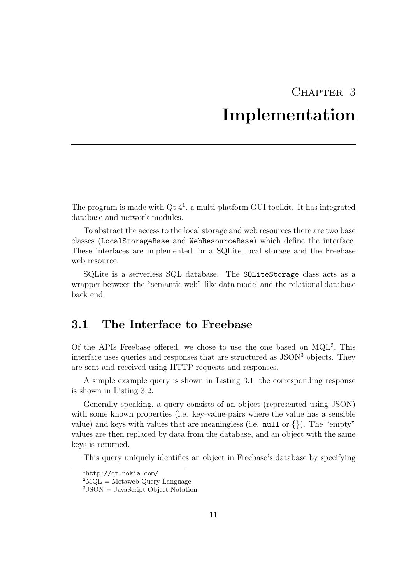## CHAPTER<sub>3</sub> Implementation

<span id="page-13-0"></span>The program is made with  $\mathrm{Qt}~4^1$ , a multi-platform GUI toolkit. It has integrated database and network modules.

To abstract the access to the local storage and web resources there are two base classes (LocalStorageBase and WebResourceBase) which define the interface. These interfaces are implemented for a SQLite local storage and the Freebase web resource.

SQLite is a serverless SQL database. The SQLiteStorage class acts as a wrapper between the "semantic web"-like data model and the relational database back end.

### <span id="page-13-1"></span>3.1 The Interface to Freebase

Of the APIs Freebase offered, we chose to use the one based on  $MQL<sup>2</sup>$ . This interface uses queries and responses that are structured as  $\text{JSON}^3$  objects. They are sent and received using HTTP requests and responses.

A simple example query is shown in Listing [3.1,](#page-14-0) the corresponding response is shown in Listing [3.2.](#page-15-0)

Generally speaking, a query consists of an object (represented using JSON) with some known properties (i.e. key-value-pairs where the value has a sensible value) and keys with values that are meaningless (i.e.  $null$  or  $\{\}\)$ . The "empty" values are then replaced by data from the database, and an object with the same keys is returned.

This query uniquely identifies an object in Freebase's database by specifying

<sup>1</sup><http://qt.nokia.com/>

 ${}^{2}$ MQL = Metaweb Query Language

 $3$ JSON = JavaScript Object Notation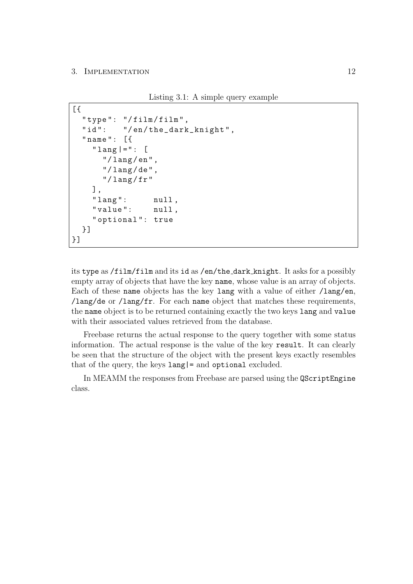#### 3. IMPLEMENTATION 12

Listing 3.1: A simple query example

```
[" type": "/film/film",
  "id": "/en/the_dark_knight",
  " name ": [{
    "lang |=": [
       "/ lang / en " ,
       ''/lang/de",
       "/ lang / fr "
    ] ,
    " lang": null,
    " value ": null ,
    " optional ": true
  }]
}]
```
its type as /film/film and its id as /en/the dark knight. It asks for a possibly empty array of objects that have the key name, whose value is an array of objects. Each of these name objects has the key lang with a value of either /lang/en, /lang/de or /lang/fr. For each name object that matches these requirements, the name object is to be returned containing exactly the two keys lang and value with their associated values retrieved from the database.

Freebase returns the actual response to the query together with some status information. The actual response is the value of the key result. It can clearly be seen that the structure of the object with the present keys exactly resembles that of the query, the keys lang|= and optional excluded.

In MEAMM the responses from Freebase are parsed using the QScriptEngine class.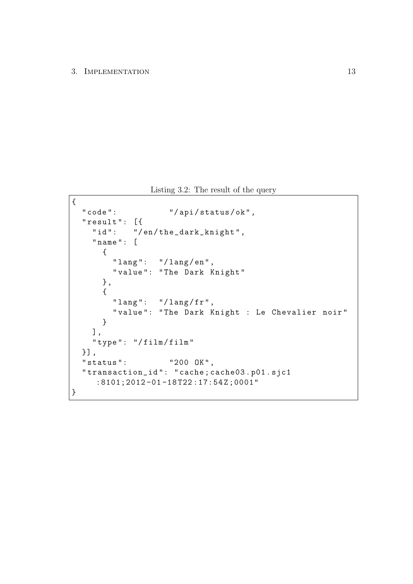Listing 3.2: The result of the query

```
{
  " code": "/api/status/ok",
  " result ": [{
    "id": "/en/the_dark_knight",
    " name ": [
      {
        " lang": "/lang/en",
        " value ": " The Dark Knight "
      } ,
      {
        "lang": "/lang/fr",
        " value ": " The Dark Knight : Le Chevalier noir "
      }
    ] ,
    " type ": "/ film / film "
  }] ,
  " status ": "200 OK",
  " transaction_id ": " cache ; cache03 . p01 . sjc1
     :8101;2012 -01 -18 T22 :17:54 Z ;0001"
}
```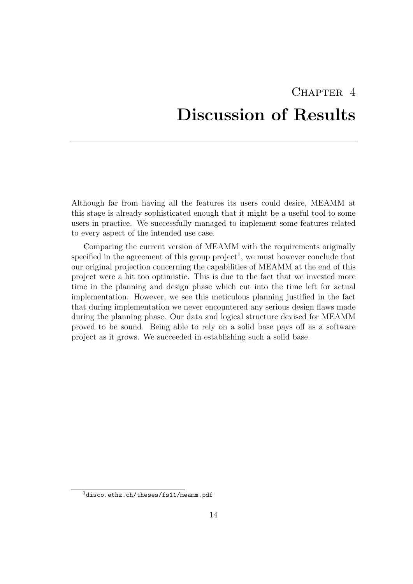# <span id="page-16-0"></span>CHAPTER<sub>4</sub> Discussion of Results

Although far from having all the features its users could desire, MEAMM at this stage is already sophisticated enough that it might be a useful tool to some users in practice. We successfully managed to implement some features related to every aspect of the intended use case.

Comparing the current version of MEAMM with the requirements originally specified in the agreement of this group  $\text{project}^1$ , we must however conclude that our original projection concerning the capabilities of MEAMM at the end of this project were a bit too optimistic. This is due to the fact that we invested more time in the planning and design phase which cut into the time left for actual implementation. However, we see this meticulous planning justified in the fact that during implementation we never encountered any serious design flaws made during the planning phase. Our data and logical structure devised for MEAMM proved to be sound. Being able to rely on a solid base pays off as a software project as it grows. We succeeded in establishing such a solid base.

 $^1$  <disco.ethz.ch/theses/fs11/meamm.pdf>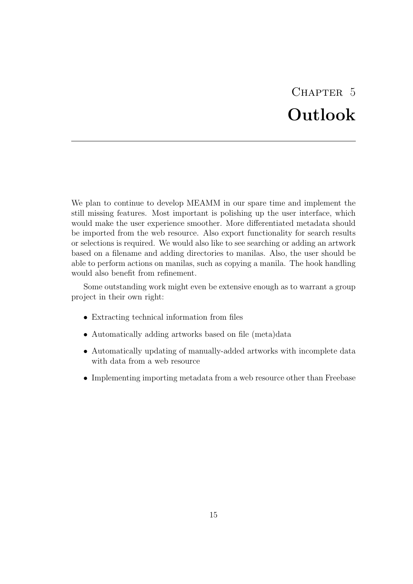# CHAPTER 5 Outlook

<span id="page-17-0"></span>We plan to continue to develop MEAMM in our spare time and implement the still missing features. Most important is polishing up the user interface, which would make the user experience smoother. More differentiated metadata should be imported from the web resource. Also export functionality for search results or selections is required. We would also like to see searching or adding an artwork based on a filename and adding directories to manilas. Also, the user should be able to perform actions on manilas, such as copying a manila. The hook handling would also benefit from refinement.

Some outstanding work might even be extensive enough as to warrant a group project in their own right:

- Extracting technical information from files
- Automatically adding artworks based on file (meta)data
- Automatically updating of manually-added artworks with incomplete data with data from a web resource
- Implementing importing metadata from a web resource other than Freebase